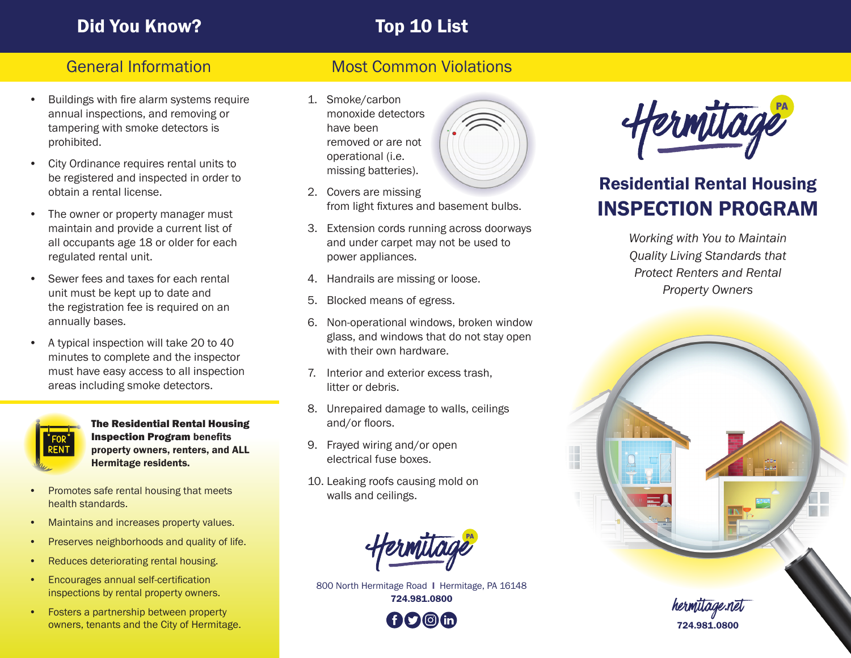# Did You Know? Top 10 List

- Buildings with fire alarm systems require annual inspections, and removing or tampering with smoke detectors is prohibited.
- City Ordinance requires rental units to be registered and inspected in order to obtain a rental license.
- The owner or property manager must maintain and provide a current list of all occupants age 18 or older for each regulated rental unit.
- Sewer fees and taxes for each rental unit must be kept up to date and the registration fee is required on an annually bases.
- A typical inspection will take 20 to 40 minutes to complete and the inspector must have easy access to all inspection areas including smoke detectors.



The Residential Rental Housing Inspection Program benefits property owners, renters, and ALL Hermitage residents.

- Promotes safe rental housing that meets health standards.
- Maintains and increases property values.
- Preserves neighborhoods and quality of life.
- Reduces deteriorating rental housing.
- Encourages annual self-certification inspections by rental property owners.
- Fosters a partnership between property owners, tenants and the City of Hermitage.

## General Information Most Common Violations

- 1. Smoke/carbon monoxide detectors have been removed or are not operational (i.e. missing batteries).
- 2. Covers are missing from light fixtures and basement bulbs.
- 3. Extension cords running across doorways and under carpet may not be used to power appliances.
- 4. Handrails are missing or loose.
- 5. Blocked means of egress.
- 6. Non-operational windows, broken window glass, and windows that do not stay open with their own hardware.
- 7. Interior and exterior excess trash, litter or debris.
- 8. Unrepaired damage to walls, ceilings and/or floors.
- 9. Frayed wiring and/or open electrical fuse boxes.
- 10. Leaking roofs causing mold on walls and ceilings.



800 North Hermitage Road I Hermitage, PA 16148 724.981.0800





# Residential Rental Housing INSPECTION PROGRAM

*Working with You to Maintain Quality Living Standards that Protect Renters and Rental Property Owners*